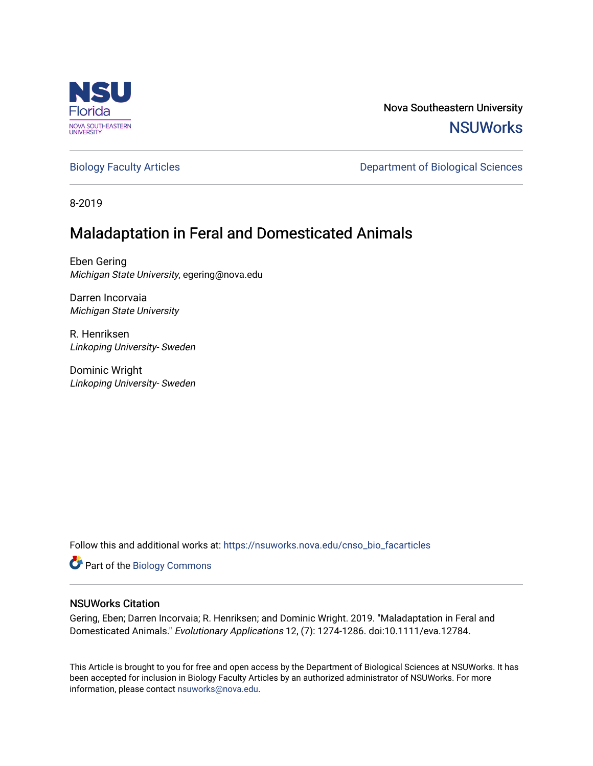

Nova Southeastern University **NSUWorks** 

[Biology Faculty Articles](https://nsuworks.nova.edu/cnso_bio_facarticles) **Department of Biological Sciences** 

8-2019

# Maladaptation in Feral and Domesticated Animals

Eben Gering Michigan State University, egering@nova.edu

Darren Incorvaia Michigan State University

R. Henriksen Linkoping University- Sweden

Dominic Wright Linkoping University- Sweden

Follow this and additional works at: [https://nsuworks.nova.edu/cnso\\_bio\\_facarticles](https://nsuworks.nova.edu/cnso_bio_facarticles?utm_source=nsuworks.nova.edu%2Fcnso_bio_facarticles%2F987&utm_medium=PDF&utm_campaign=PDFCoverPages) 

Part of the [Biology Commons](http://network.bepress.com/hgg/discipline/41?utm_source=nsuworks.nova.edu%2Fcnso_bio_facarticles%2F987&utm_medium=PDF&utm_campaign=PDFCoverPages) 

# NSUWorks Citation

Gering, Eben; Darren Incorvaia; R. Henriksen; and Dominic Wright. 2019. "Maladaptation in Feral and Domesticated Animals." Evolutionary Applications 12, (7): 1274-1286. doi:10.1111/eva.12784.

This Article is brought to you for free and open access by the Department of Biological Sciences at NSUWorks. It has been accepted for inclusion in Biology Faculty Articles by an authorized administrator of NSUWorks. For more information, please contact [nsuworks@nova.edu.](mailto:nsuworks@nova.edu)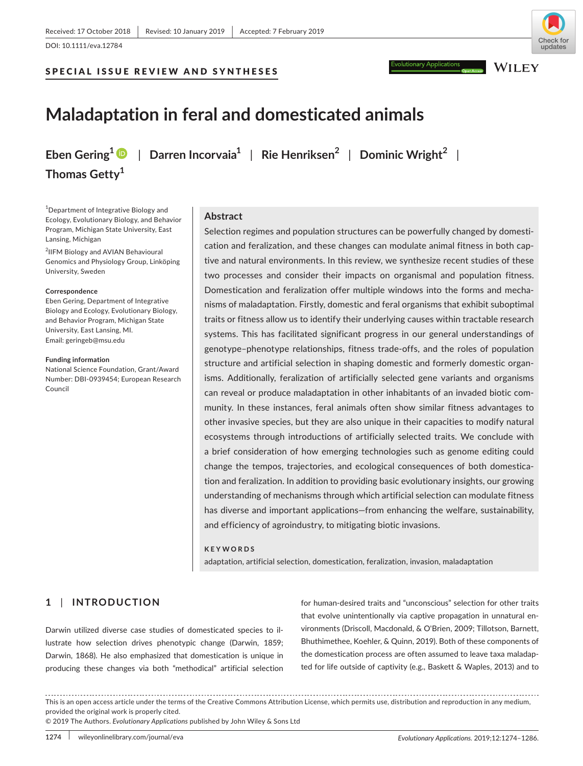**Thomas Getty<sup>1</sup>**

#### SPECIAL ISSUE REVIEW AND SYNTHESES



**WILEY** 

# **Maladaptation in feral and domesticated animals**

**Eben Gering1** | **Darren Incorvaia<sup>1</sup>** | **Rie Henriksen<sup>2</sup>** | **Dominic Wright<sup>2</sup>** |

<sup>1</sup>Department of Integrative Biology and Ecology, Evolutionary Biology, and Behavior Program, Michigan State University, East Lansing, Michigan

<sup>2</sup>IIFM Biology and AVIAN Behavioural Genomics and Physiology Group, Linköping University, Sweden

#### **Correspondence**

Eben Gering, Department of Integrative Biology and Ecology, Evolutionary Biology, and Behavior Program, Michigan State University, East Lansing, MI. Email: [geringeb@msu.edu](mailto:geringeb@msu.edu)

#### **Funding information**

National Science Foundation, Grant/Award Number: DBI-0939454; European Research Council

### **Abstract**

Selection regimes and population structures can be powerfully changed by domestication and feralization, and these changes can modulate animal fitness in both cap‐ tive and natural environments. In this review, we synthesize recent studies of these two processes and consider their impacts on organismal and population fitness. Domestication and feralization offer multiple windows into the forms and mecha‐ nisms of maladaptation. Firstly, domestic and feral organisms that exhibit suboptimal traits or fitness allow us to identify their underlying causes within tractable research systems. This has facilitated significant progress in our general understandings of genotype–phenotype relationships, fitness trade‐offs, and the roles of population structure and artificial selection in shaping domestic and formerly domestic organ‐ isms. Additionally, feralization of artificially selected gene variants and organisms can reveal or produce maladaptation in other inhabitants of an invaded biotic com‐ munity. In these instances, feral animals often show similar fitness advantages to other invasive species, but they are also unique in their capacities to modify natural ecosystems through introductions of artificially selected traits. We conclude with a brief consideration of how emerging technologies such as genome editing could change the tempos, trajectories, and ecological consequences of both domestica‐ tion and feralization. In addition to providing basic evolutionary insights, our growing understanding of mechanisms through which artificial selection can modulate fitness has diverse and important applications—from enhancing the welfare, sustainability, and efficiency of agroindustry, to mitigating biotic invasions.

#### **KEYWORDS**

adaptation, artificial selection, domestication, feralization, invasion, maladaptation

### **1** | **INTRODUCTION**

Darwin utilized diverse case studies of domesticated species to il‐ lustrate how selection drives phenotypic change (Darwin, 1859; Darwin, 1868). He also emphasized that domestication is unique in producing these changes via both "methodical" artificial selection

for human‐desired traits and "unconscious" selection for other traits that evolve unintentionally via captive propagation in unnatural en‐ vironments (Driscoll, Macdonald, & O'Brien, 2009; Tillotson, Barnett, Bhuthimethee, Koehler, & Quinn, 2019). Both of these components of the domestication process are often assumed to leave taxa maladap‐ ted for life outside of captivity (e.g., Baskett & Waples, 2013) and to

© 2019 The Authors. *Evolutionary Applications* published by John Wiley & Sons Ltd

This is an open access article under the terms of the [Creative Commons Attribution](http://creativecommons.org/licenses/by/4.0/) License, which permits use, distribution and reproduction in any medium, provided the original work is properly cited.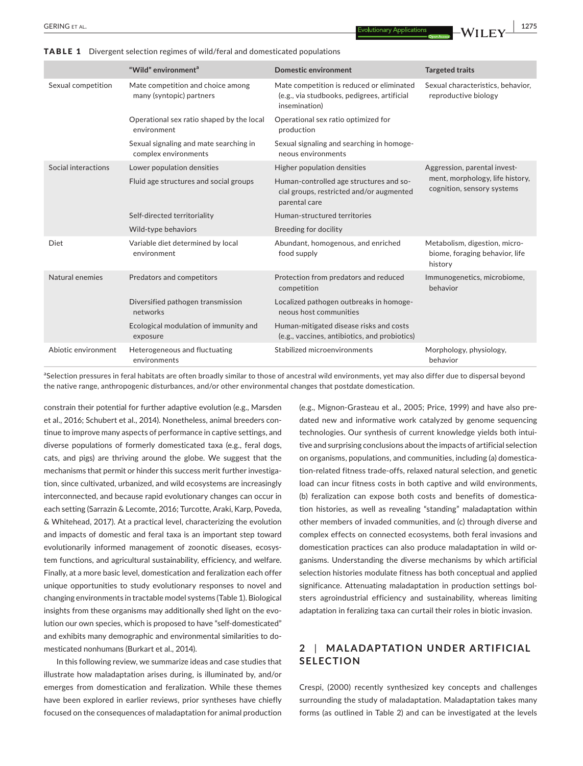**|** GERING et al. **1275**

|                     | "Wild" environment <sup>a</sup>                                | <b>Domestic environment</b>                                                                               | <b>Targeted traits</b>                                                                        |
|---------------------|----------------------------------------------------------------|-----------------------------------------------------------------------------------------------------------|-----------------------------------------------------------------------------------------------|
| Sexual competition  | Mate competition and choice among<br>many (syntopic) partners  | Mate competition is reduced or eliminated<br>(e.g., via studbooks, pedigrees, artificial<br>insemination) | Sexual characteristics, behavior,<br>reproductive biology                                     |
|                     | Operational sex ratio shaped by the local<br>environment       | Operational sex ratio optimized for<br>production                                                         |                                                                                               |
|                     | Sexual signaling and mate searching in<br>complex environments | Sexual signaling and searching in homoge-<br>neous environments                                           |                                                                                               |
| Social interactions | Lower population densities                                     | Higher population densities                                                                               | Aggression, parental invest-<br>ment, morphology, life history,<br>cognition, sensory systems |
|                     | Fluid age structures and social groups                         | Human-controlled age structures and so-<br>cial groups, restricted and/or augmented<br>parental care      |                                                                                               |
|                     | Self-directed territoriality                                   | Human-structured territories                                                                              |                                                                                               |
|                     | Wild-type behaviors                                            | Breeding for docility                                                                                     |                                                                                               |
| Diet                | Variable diet determined by local<br>environment               | Abundant, homogenous, and enriched<br>food supply                                                         | Metabolism, digestion, micro-<br>biome, foraging behavior, life<br>history                    |
| Natural enemies     | Predators and competitors                                      | Protection from predators and reduced<br>competition                                                      | Immunogenetics, microbiome,<br>behavior                                                       |
|                     | Diversified pathogen transmission<br>networks                  | Localized pathogen outbreaks in homoge-<br>neous host communities                                         |                                                                                               |
|                     | Ecological modulation of immunity and<br>exposure              | Human-mitigated disease risks and costs<br>(e.g., vaccines, antibiotics, and probiotics)                  |                                                                                               |
| Abiotic environment | Heterogeneous and fluctuating<br>environments                  | Stabilized microenvironments                                                                              | Morphology, physiology,<br>behavior                                                           |

TABLE 1 Divergent selection regimes of wild/feral and domesticated populations

<sup>a</sup>Selection pressures in feral habitats are often broadly similar to those of ancestral wild environments, yet may also differ due to dispersal beyond the native range, anthropogenic disturbances, and/or other environmental changes that postdate domestication.

constrain their potential for further adaptive evolution (e.g., Marsden et al., 2016; Schubert et al., 2014). Nonetheless, animal breeders continue to improve many aspects of performance in captive settings, and diverse populations of formerly domesticated taxa (e.g., feral dogs, cats, and pigs) are thriving around the globe. We suggest that the mechanisms that permit or hinder this success merit further investigation, since cultivated, urbanized, and wild ecosystems are increasingly interconnected, and because rapid evolutionary changes can occur in each setting (Sarrazin & Lecomte, 2016; Turcotte, Araki, Karp, Poveda, & Whitehead, 2017). At a practical level, characterizing the evolution and impacts of domestic and feral taxa is an important step toward evolutionarily informed management of zoonotic diseases, ecosystem functions, and agricultural sustainability, efficiency, and welfare. Finally, at a more basic level, domestication and feralization each offer unique opportunities to study evolutionary responses to novel and changing environments in tractable model systems (Table 1). Biological insights from these organisms may additionally shed light on the evolution our own species, which is proposed to have "self‐domesticated" and exhibits many demographic and environmental similarities to domesticated nonhumans (Burkart et al., 2014).

In this following review, we summarize ideas and case studies that illustrate how maladaptation arises during, is illuminated by, and/or emerges from domestication and feralization. While these themes have been explored in earlier reviews, prior syntheses have chiefly focused on the consequences of maladaptation for animal production

(e.g., Mignon‐Grasteau et al., 2005; Price, 1999) and have also pre‐ dated new and informative work catalyzed by genome sequencing technologies. Our synthesis of current knowledge yields both intui‐ tive and surprising conclusions about the impacts of artificial selection on organisms, populations, and communities, including (a) domestica‐ tion‐related fitness trade‐offs, relaxed natural selection, and genetic load can incur fitness costs in both captive and wild environments, (b) feralization can expose both costs and benefits of domestication histories, as well as revealing "standing" maladaptation within other members of invaded communities, and (c) through diverse and complex effects on connected ecosystems, both feral invasions and domestication practices can also produce maladaptation in wild or‐ ganisms. Understanding the diverse mechanisms by which artificial selection histories modulate fitness has both conceptual and applied significance. Attenuating maladaptation in production settings bol‐ sters agroindustrial efficiency and sustainability, whereas limiting adaptation in feralizing taxa can curtail their roles in biotic invasion.

### **2** | **MAL ADAPTATION UNDER ARTIFICIAL SELECTION**

Crespi, (2000) recently synthesized key concepts and challenges surrounding the study of maladaptation. Maladaptation takes many forms (as outlined in Table 2) and can be investigated at the levels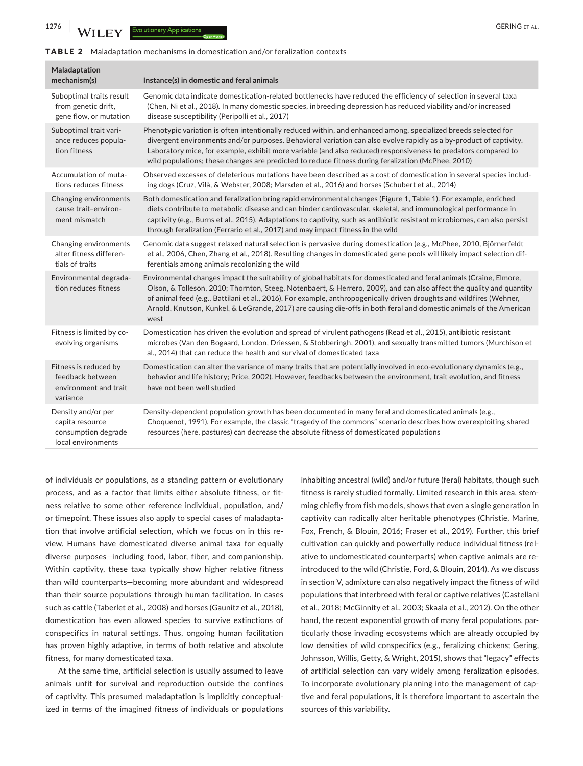**1276 |**  GERING et al.

#### TABLE 2 Maladaptation mechanisms in domestication and/or feralization contexts

| Maladaptation<br>mechanism(s)                                                      | Instance(s) in domestic and feral animals                                                                                                                                                                                                                                                                                                                                                                                                                                                         |
|------------------------------------------------------------------------------------|---------------------------------------------------------------------------------------------------------------------------------------------------------------------------------------------------------------------------------------------------------------------------------------------------------------------------------------------------------------------------------------------------------------------------------------------------------------------------------------------------|
| Suboptimal traits result<br>from genetic drift,<br>gene flow, or mutation          | Genomic data indicate domestication-related bottlenecks have reduced the efficiency of selection in several taxa<br>(Chen, Ni et al., 2018). In many domestic species, inbreeding depression has reduced viability and/or increased<br>disease susceptibility (Peripolli et al., 2017)                                                                                                                                                                                                            |
| Suboptimal trait vari-<br>ance reduces popula-<br>tion fitness                     | Phenotypic variation is often intentionally reduced within, and enhanced among, specialized breeds selected for<br>divergent environments and/or purposes. Behavioral variation can also evolve rapidly as a by-product of captivity.<br>Laboratory mice, for example, exhibit more variable (and also reduced) responsiveness to predators compared to<br>wild populations; these changes are predicted to reduce fitness during feralization (McPhee, 2010)                                     |
| Accumulation of muta-<br>tions reduces fitness                                     | Observed excesses of deleterious mutations have been described as a cost of domestication in several species includ-<br>ing dogs (Cruz, Vilà, & Webster, 2008; Marsden et al., 2016) and horses (Schubert et al., 2014)                                                                                                                                                                                                                                                                           |
| Changing environments<br>cause trait-environ-<br>ment mismatch                     | Both domestication and feralization bring rapid environmental changes (Figure 1, Table 1). For example, enriched<br>diets contribute to metabolic disease and can hinder cardiovascular, skeletal, and immunological performance in<br>captivity (e.g., Burns et al., 2015). Adaptations to captivity, such as antibiotic resistant microbiomes, can also persist<br>through feralization (Ferrario et al., 2017) and may impact fitness in the wild                                              |
| Changing environments<br>alter fitness differen-<br>tials of traits                | Genomic data suggest relaxed natural selection is pervasive during domestication (e.g., McPhee, 2010, Björnerfeldt<br>et al., 2006, Chen, Zhang et al., 2018). Resulting changes in domesticated gene pools will likely impact selection dif-<br>ferentials among animals recolonizing the wild                                                                                                                                                                                                   |
| Environmental degrada-<br>tion reduces fitness                                     | Environmental changes impact the suitability of global habitats for domesticated and feral animals (Craine, Elmore,<br>Olson, & Tolleson, 2010; Thornton, Steeg, Notenbaert, & Herrero, 2009), and can also affect the quality and quantity<br>of animal feed (e.g., Battilani et al., 2016). For example, anthropogenically driven droughts and wildfires (Wehner,<br>Arnold, Knutson, Kunkel, & LeGrande, 2017) are causing die-offs in both feral and domestic animals of the American<br>west |
| Fitness is limited by co-<br>evolving organisms                                    | Domestication has driven the evolution and spread of virulent pathogens (Read et al., 2015), antibiotic resistant<br>microbes (Van den Bogaard, London, Driessen, & Stobberingh, 2001), and sexually transmitted tumors (Murchison et<br>al., 2014) that can reduce the health and survival of domesticated taxa                                                                                                                                                                                  |
| Fitness is reduced by<br>feedback between<br>environment and trait<br>variance     | Domestication can alter the variance of many traits that are potentially involved in eco-evolutionary dynamics (e.g.,<br>behavior and life history; Price, 2002). However, feedbacks between the environment, trait evolution, and fitness<br>have not been well studied                                                                                                                                                                                                                          |
| Density and/or per<br>capita resource<br>consumption degrade<br>local environments | Density-dependent population growth has been documented in many feral and domesticated animals (e.g.,<br>Choquenot, 1991). For example, the classic "tragedy of the commons" scenario describes how overexploiting shared<br>resources (here, pastures) can decrease the absolute fitness of domesticated populations                                                                                                                                                                             |
|                                                                                    |                                                                                                                                                                                                                                                                                                                                                                                                                                                                                                   |

of individuals or populations, as a standing pattern or evolutionary process, and as a factor that limits either absolute fitness, or fit‐ ness relative to some other reference individual, population, and/ or timepoint. These issues also apply to special cases of maladapta‐ tion that involve artificial selection, which we focus on in this re‐ view. Humans have domesticated diverse animal taxa for equally diverse purposes—including food, labor, fiber, and companionship. Within captivity, these taxa typically show higher relative fitness than wild counterparts—becoming more abundant and widespread than their source populations through human facilitation. In cases such as cattle (Taberlet et al., 2008) and horses (Gaunitz et al., 2018), domestication has even allowed species to survive extinctions of conspecifics in natural settings. Thus, ongoing human facilitation has proven highly adaptive, in terms of both relative and absolute fitness, for many domesticated taxa.

At the same time, artificial selection is usually assumed to leave animals unfit for survival and reproduction outside the confines of captivity. This presumed maladaptation is implicitly conceptual‐ ized in terms of the imagined fitness of individuals or populations

inhabiting ancestral (wild) and/or future (feral) habitats, though such fitness is rarely studied formally. Limited research in this area, stem‐ ming chiefly from fish models, shows that even a single generation in captivity can radically alter heritable phenotypes (Christie, Marine, Fox, French, & Blouin, 2016; Fraser et al., 2019). Further, this brief cultivation can quickly and powerfully reduce individual fitness (rel‐ ative to undomesticated counterparts) when captive animals are re‐ introduced to the wild (Christie, Ford, & Blouin, 2014). As we discuss in section V, admixture can also negatively impact the fitness of wild populations that interbreed with feral or captive relatives (Castellani et al., 2018; McGinnity et al., 2003; Skaala et al., 2012). On the other hand, the recent exponential growth of many feral populations, particularly those invading ecosystems which are already occupied by low densities of wild conspecifics (e.g., feralizing chickens; Gering, Johnsson, Willis, Getty, & Wright, 2015), shows that "legacy" effects of artificial selection can vary widely among feralization episodes. To incorporate evolutionary planning into the management of cap‐ tive and feral populations, it is therefore important to ascertain the sources of this variability.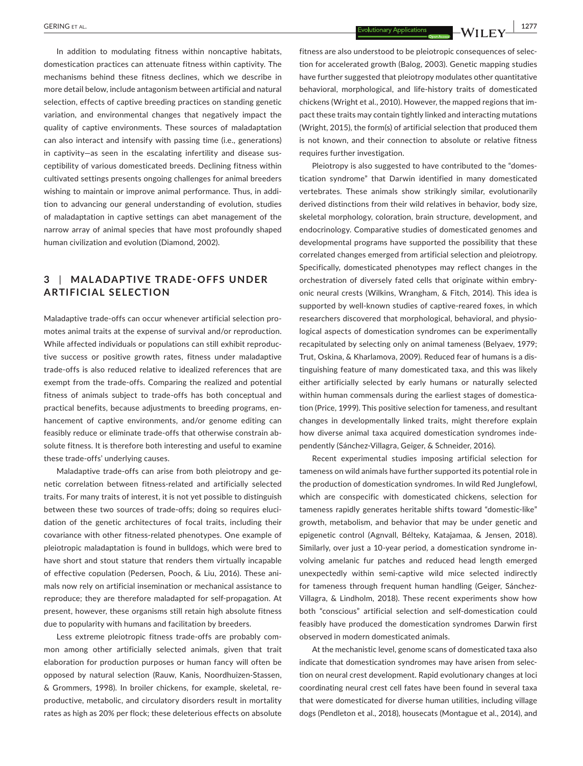In addition to modulating fitness within noncaptive habitats, domestication practices can attenuate fitness within captivity. The mechanisms behind these fitness declines, which we describe in more detail below, include antagonism between artificial and natural selection, effects of captive breeding practices on standing genetic variation, and environmental changes that negatively impact the quality of captive environments. These sources of maladaptation can also interact and intensify with passing time (i.e., generations) in captivity—as seen in the escalating infertility and disease sus‐ ceptibility of various domesticated breeds. Declining fitness within cultivated settings presents ongoing challenges for animal breeders wishing to maintain or improve animal performance. Thus, in addi‐ tion to advancing our general understanding of evolution, studies of maladaptation in captive settings can abet management of the narrow array of animal species that have most profoundly shaped human civilization and evolution (Diamond, 2002).

# **3** | **MAL ADAPTIVE TR ADE‐ OFFS UNDER ARTIFICIAL SELECTION**

Maladaptive trade‐offs can occur whenever artificial selection pro‐ motes animal traits at the expense of survival and/or reproduction. While affected individuals or populations can still exhibit reproduc‐ tive success or positive growth rates, fitness under maladaptive trade‐offs is also reduced relative to idealized references that are exempt from the trade‐offs. Comparing the realized and potential fitness of animals subject to trade‐offs has both conceptual and practical benefits, because adjustments to breeding programs, en‐ hancement of captive environments, and/or genome editing can feasibly reduce or eliminate trade‐offs that otherwise constrain ab‐ solute fitness. It is therefore both interesting and useful to examine these trade‐offs' underlying causes.

Maladaptive trade‐offs can arise from both pleiotropy and ge‐ netic correlation between fitness‐related and artificially selected traits. For many traits of interest, it is not yet possible to distinguish between these two sources of trade-offs; doing so requires elucidation of the genetic architectures of focal traits, including their covariance with other fitness‐related phenotypes. One example of pleiotropic maladaptation is found in bulldogs, which were bred to have short and stout stature that renders them virtually incapable of effective copulation (Pedersen, Pooch, & Liu, 2016). These ani‐ mals now rely on artificial insemination or mechanical assistance to reproduce; they are therefore maladapted for self‐propagation. At present, however, these organisms still retain high absolute fitness due to popularity with humans and facilitation by breeders.

Less extreme pleiotropic fitness trade‐offs are probably com‐ mon among other artificially selected animals, given that trait elaboration for production purposes or human fancy will often be opposed by natural selection (Rauw, Kanis, Noordhuizen‐Stassen, & Grommers, 1998). In broiler chickens, for example, skeletal, re‐ productive, metabolic, and circulatory disorders result in mortality rates as high as 20% per flock; these deleterious effects on absolute

 **|** GERING et al. **1277**

fitness are also understood to be pleiotropic consequences of selec‐ tion for accelerated growth (Balog, 2003). Genetic mapping studies have further suggested that pleiotropy modulates other quantitative behavioral, morphological, and life‐history traits of domesticated chickens (Wright et al., 2010). However, the mapped regions that im‐ pact these traits may contain tightly linked and interacting mutations (Wright, 2015), the form(s) of artificial selection that produced them is not known, and their connection to absolute or relative fitness requires further investigation.

Pleiotropy is also suggested to have contributed to the "domes‐ tication syndrome" that Darwin identified in many domesticated vertebrates. These animals show strikingly similar, evolutionarily derived distinctions from their wild relatives in behavior, body size, skeletal morphology, coloration, brain structure, development, and endocrinology. Comparative studies of domesticated genomes and developmental programs have supported the possibility that these correlated changes emerged from artificial selection and pleiotropy. Specifically, domesticated phenotypes may reflect changes in the orchestration of diversely fated cells that originate within embry‐ onic neural crests (Wilkins, Wrangham, & Fitch, 2014). This idea is supported by well-known studies of captive-reared foxes, in which researchers discovered that morphological, behavioral, and physio‐ logical aspects of domestication syndromes can be experimentally recapitulated by selecting only on animal tameness (Belyaev, 1979; Trut, Oskina, & Kharlamova, 2009). Reduced fear of humans is a dis‐ tinguishing feature of many domesticated taxa, and this was likely either artificially selected by early humans or naturally selected within human commensals during the earliest stages of domestication (Price, 1999). This positive selection for tameness, and resultant changes in developmentally linked traits, might therefore explain how diverse animal taxa acquired domestication syndromes inde‐ pendently (Sánchez‐Villagra, Geiger, & Schneider, 2016).

Recent experimental studies imposing artificial selection for tameness on wild animals have further supported its potential role in the production of domestication syndromes. In wild Red Junglefowl, which are conspecific with domesticated chickens, selection for tameness rapidly generates heritable shifts toward "domestic‐like" growth, metabolism, and behavior that may be under genetic and epigenetic control (Agnvall, Bélteky, Katajamaa, & Jensen, 2018). Similarly, over just a 10‐year period, a domestication syndrome in‐ volving amelanic fur patches and reduced head length emerged unexpectedly within semi-captive wild mice selected indirectly for tameness through frequent human handling (Geiger, Sánchez‐ Villagra, & Lindholm, 2018). These recent experiments show how both "conscious" artificial selection and self‐domestication could feasibly have produced the domestication syndromes Darwin first observed in modern domesticated animals.

At the mechanistic level, genome scans of domesticated taxa also indicate that domestication syndromes may have arisen from selec‐ tion on neural crest development. Rapid evolutionary changes at loci coordinating neural crest cell fates have been found in several taxa that were domesticated for diverse human utilities, including village dogs (Pendleton et al., 2018), housecats (Montague et al., 2014), and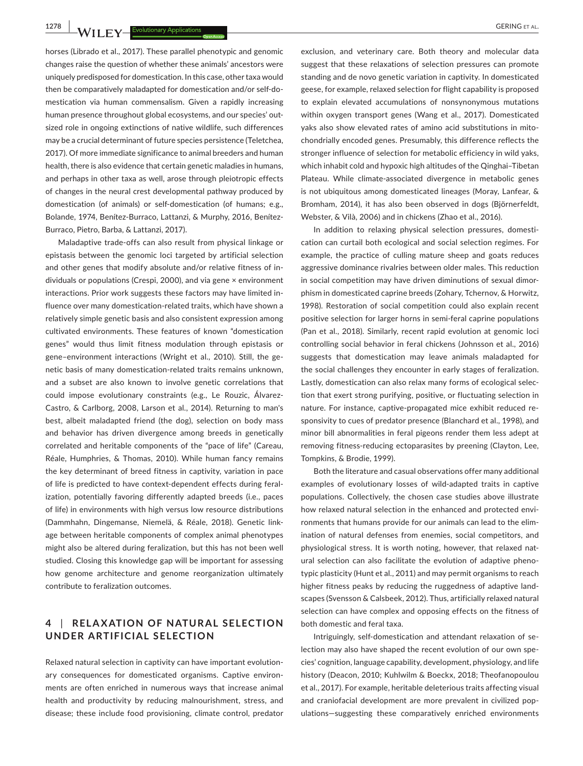**1278 M/II EV** Evolutionary Applications

horses (Librado et al., 2017). These parallel phenotypic and genomic changes raise the question of whether these animals' ancestors were uniquely predisposed for domestication. In this case, other taxa would then be comparatively maladapted for domestication and/or self‐do‐ mestication via human commensalism. Given a rapidly increasing human presence throughout global ecosystems, and our species' outsized role in ongoing extinctions of native wildlife, such differences may be a crucial determinant of future species persistence (Teletchea, 2017). Of more immediate significance to animal breeders and human health, there is also evidence that certain genetic maladies in humans, and perhaps in other taxa as well, arose through pleiotropic effects of changes in the neural crest developmental pathway produced by domestication (of animals) or self‐domestication (of humans; e.g., Bolande, 1974, Benítez-Burraco, Lattanzi, & Murphy, 2016, Benítez-Burraco, Pietro, Barba, & Lattanzi, 2017).

Maladaptive trade‐offs can also result from physical linkage or epistasis between the genomic loci targeted by artificial selection and other genes that modify absolute and/or relative fitness of in‐ dividuals or populations (Crespi, 2000), and via gene × environment interactions. Prior work suggests these factors may have limited in‐ fluence over many domestication-related traits, which have shown a relatively simple genetic basis and also consistent expression among cultivated environments. These features of known "domestication genes" would thus limit fitness modulation through epistasis or gene–environment interactions (Wright et al., 2010). Still, the ge‐ netic basis of many domestication‐related traits remains unknown, and a subset are also known to involve genetic correlations that could impose evolutionary constraints (e.g., Le Rouzic, Álvarez‐ Castro, & Carlborg, 2008, Larson et al., 2014). Returning to man's best, albeit maladapted friend (the dog), selection on body mass and behavior has driven divergence among breeds in genetically correlated and heritable components of the "pace of life" (Careau, Réale, Humphries, & Thomas, 2010). While human fancy remains the key determinant of breed fitness in captivity, variation in pace of life is predicted to have context-dependent effects during feralization, potentially favoring differently adapted breeds (i.e., paces of life) in environments with high versus low resource distributions (Dammhahn, Dingemanse, Niemelä, & Réale, 2018). Genetic link‐ age between heritable components of complex animal phenotypes might also be altered during feralization, but this has not been well studied. Closing this knowledge gap will be important for assessing how genome architecture and genome reorganization ultimately contribute to feralization outcomes.

### **4** | **REL A X ATION OF NATUR AL SELEC TION UNDER ARTIFICIAL SELECTION**

Relaxed natural selection in captivity can have important evolution‐ ary consequences for domesticated organisms. Captive environ‐ ments are often enriched in numerous ways that increase animal health and productivity by reducing malnourishment, stress, and disease; these include food provisioning, climate control, predator

exclusion, and veterinary care. Both theory and molecular data suggest that these relaxations of selection pressures can promote standing and de novo genetic variation in captivity. In domesticated geese, for example, relaxed selection for flight capability is proposed to explain elevated accumulations of nonsynonymous mutations within oxygen transport genes (Wang et al., 2017). Domesticated yaks also show elevated rates of amino acid substitutions in mito‐ chondrially encoded genes. Presumably, this difference reflects the stronger influence of selection for metabolic efficiency in wild yaks, which inhabit cold and hypoxic high altitudes of the Qinghai–Tibetan Plateau. While climate‐associated divergence in metabolic genes is not ubiquitous among domesticated lineages (Moray, Lanfear, & Bromham, 2014), it has also been observed in dogs (Björnerfeldt, Webster, & Vilà, 2006) and in chickens (Zhao et al., 2016).

In addition to relaxing physical selection pressures, domestication can curtail both ecological and social selection regimes. For example, the practice of culling mature sheep and goats reduces aggressive dominance rivalries between older males. This reduction in social competition may have driven diminutions of sexual dimorphism in domesticated caprine breeds (Zohary, Tchernov, & Horwitz, 1998). Restoration of social competition could also explain recent positive selection for larger horns in semi-feral caprine populations (Pan et al., 2018). Similarly, recent rapid evolution at genomic loci controlling social behavior in feral chickens (Johnsson et al., 2016) suggests that domestication may leave animals maladapted for the social challenges they encounter in early stages of feralization. Lastly, domestication can also relax many forms of ecological selec‐ tion that exert strong purifying, positive, or fluctuating selection in nature. For instance, captive‐propagated mice exhibit reduced re‐ sponsivity to cues of predator presence (Blanchard et al., 1998), and minor bill abnormalities in feral pigeons render them less adept at removing fitness-reducing ectoparasites by preening (Clayton, Lee, Tompkins, & Brodie, 1999).

Both the literature and casual observations offer many additional examples of evolutionary losses of wild‐adapted traits in captive populations. Collectively, the chosen case studies above illustrate how relaxed natural selection in the enhanced and protected environments that humans provide for our animals can lead to the elim‐ ination of natural defenses from enemies, social competitors, and physiological stress. It is worth noting, however, that relaxed nat‐ ural selection can also facilitate the evolution of adaptive pheno‐ typic plasticity (Hunt et al., 2011) and may permit organisms to reach higher fitness peaks by reducing the ruggedness of adaptive land‐ scapes (Svensson & Calsbeek, 2012). Thus, artificially relaxed natural selection can have complex and opposing effects on the fitness of both domestic and feral taxa.

Intriguingly, self‐domestication and attendant relaxation of se‐ lection may also have shaped the recent evolution of our own species' cognition, language capability, development, physiology, and life history (Deacon, 2010; Kuhlwilm & Boeckx, 2018; Theofanopoulou et al., 2017). For example, heritable deleterious traits affecting visual and craniofacial development are more prevalent in civilized pop‐ ulations—suggesting these comparatively enriched environments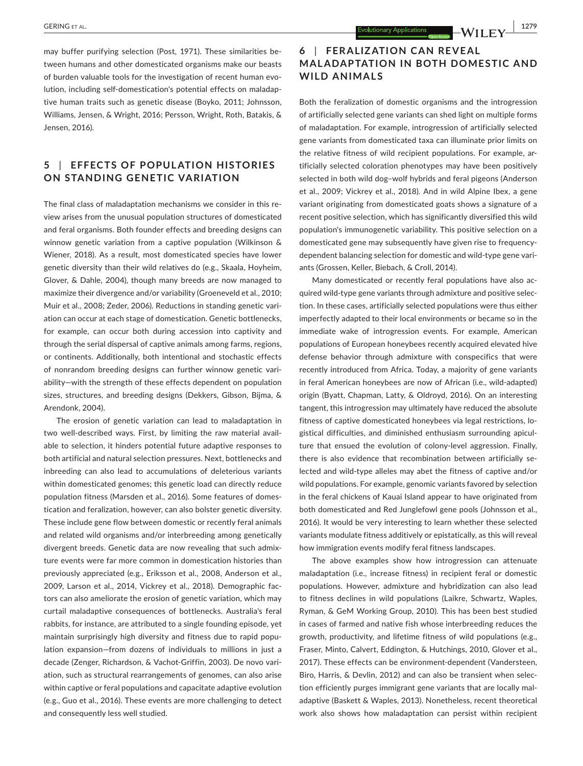may buffer purifying selection (Post, 1971). These similarities be‐ tween humans and other domesticated organisms make our beasts of burden valuable tools for the investigation of recent human evo‐ lution, including self‐domestication's potential effects on maladap‐ tive human traits such as genetic disease (Boyko, 2011; Johnsson, Williams, Jensen, & Wright, 2016; Persson, Wright, Roth, Batakis, & Jensen, 2016).

### **5** | **EFFEC TS OF POPUL ATION HISTORIES ON STANDING GENETIC VARIATION**

The final class of maladaptation mechanisms we consider in this re‐ view arises from the unusual population structures of domesticated and feral organisms. Both founder effects and breeding designs can winnow genetic variation from a captive population (Wilkinson & Wiener, 2018). As a result, most domesticated species have lower genetic diversity than their wild relatives do (e.g., Skaala, Hoyheim, Glover, & Dahle, 2004), though many breeds are now managed to maximize their divergence and/or variability (Groeneveld et al., 2010; Muir et al., 2008; Zeder, 2006). Reductions in standing genetic vari‐ ation can occur at each stage of domestication. Genetic bottlenecks, for example, can occur both during accession into captivity and through the serial dispersal of captive animals among farms, regions, or continents. Additionally, both intentional and stochastic effects of nonrandom breeding designs can further winnow genetic vari‐ ability—with the strength of these effects dependent on population sizes, structures, and breeding designs (Dekkers, Gibson, Bijma, & Arendonk, 2004).

The erosion of genetic variation can lead to maladaptation in two well-described ways. First, by limiting the raw material available to selection, it hinders potential future adaptive responses to both artificial and natural selection pressures. Next, bottlenecks and inbreeding can also lead to accumulations of deleterious variants within domesticated genomes; this genetic load can directly reduce population fitness (Marsden et al., 2016). Some features of domes‐ tication and feralization, however, can also bolster genetic diversity. These include gene flow between domestic or recently feral animals and related wild organisms and/or interbreeding among genetically divergent breeds. Genetic data are now revealing that such admix‐ ture events were far more common in domestication histories than previously appreciated (e.g., Eriksson et al., 2008, Anderson et al., 2009, Larson et al., 2014, Vickrey et al., 2018). Demographic fac‐ tors can also ameliorate the erosion of genetic variation, which may curtail maladaptive consequences of bottlenecks. Australia's feral rabbits, for instance, are attributed to a single founding episode, yet maintain surprisingly high diversity and fitness due to rapid popu‐ lation expansion—from dozens of individuals to millions in just a decade (Zenger, Richardson, & Vachot‐Griffin, 2003). De novo vari‐ ation, such as structural rearrangements of genomes, can also arise within captive or feral populations and capacitate adaptive evolution (e.g., Guo et al., 2016). These events are more challenging to detect and consequently less well studied.

## **6** | **FER ALIZ ATION C AN RE VE AL MALADAPTATION IN BOTH DOMESTIC AND WILD ANIMALS**

Both the feralization of domestic organisms and the introgression of artificially selected gene variants can shed light on multiple forms of maladaptation. For example, introgression of artificially selected gene variants from domesticated taxa can illuminate prior limits on the relative fitness of wild recipient populations. For example, ar‐ tificially selected coloration phenotypes may have been positively selected in both wild dog–wolf hybrids and feral pigeons (Anderson et al., 2009; Vickrey et al., 2018). And in wild Alpine Ibex, a gene variant originating from domesticated goats shows a signature of a recent positive selection, which has significantly diversified this wild population's immunogenetic variability. This positive selection on a domesticated gene may subsequently have given rise to frequency‐ dependent balancing selection for domestic and wild-type gene variants (Grossen, Keller, Biebach, & Croll, 2014).

Many domesticated or recently feral populations have also ac‐ quired wild‐type gene variants through admixture and positive selec‐ tion. In these cases, artificially selected populations were thus either imperfectly adapted to their local environments or became so in the immediate wake of introgression events. For example, American populations of European honeybees recently acquired elevated hive defense behavior through admixture with conspecifics that were recently introduced from Africa. Today, a majority of gene variants in feral American honeybees are now of African (i.e., wild‐adapted) origin (Byatt, Chapman, Latty, & Oldroyd, 2016). On an interesting tangent, this introgression may ultimately have reduced the absolute fitness of captive domesticated honeybees via legal restrictions, lo‐ gistical difficulties, and diminished enthusiasm surrounding apicul‐ ture that ensued the evolution of colony‐level aggression. Finally, there is also evidence that recombination between artificially se‐ lected and wild‐type alleles may abet the fitness of captive and/or wild populations. For example, genomic variants favored by selection in the feral chickens of Kauai Island appear to have originated from both domesticated and Red Junglefowl gene pools (Johnsson et al., 2016). It would be very interesting to learn whether these selected variants modulate fitness additively or epistatically, as this will reveal how immigration events modify feral fitness landscapes.

The above examples show how introgression can attenuate maladaptation (i.e., increase fitness) in recipient feral or domestic populations. However, admixture and hybridization can also lead to fitness declines in wild populations (Laikre, Schwartz, Waples, Ryman, & GeM Working Group, 2010). This has been best studied in cases of farmed and native fish whose interbreeding reduces the growth, productivity, and lifetime fitness of wild populations (e.g., Fraser, Minto, Calvert, Eddington, & Hutchings, 2010, Glover et al., 2017). These effects can be environment‐dependent (Vandersteen, Biro, Harris, & Devlin, 2012) and can also be transient when selection efficiently purges immigrant gene variants that are locally mal‐ adaptive (Baskett & Waples, 2013). Nonetheless, recent theoretical work also shows how maladaptation can persist within recipient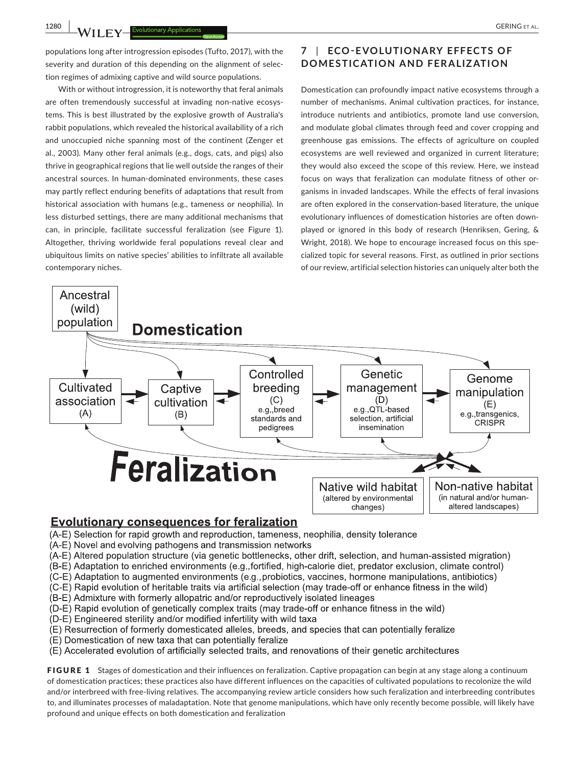Ancestral

**1280 | b** *l l* **l l** *l l* **<b>l** *l l l l l l l l l l l l l l l l l l l l l l l l l l l l l*

populations long after introgression episodes (Tufto, 2017), with the severity and duration of this depending on the alignment of selection regimes of admixing captive and wild source populations.

With or without introgression, it is noteworthy that feral animals are often tremendously successful at invading non-native ecosystems. This is best illustrated by the explosive growth of Australia's rabbit populations, which revealed the historical availability of a rich and unoccupied niche spanning most of the continent (Zenger et al., 2003). Many other feral animals (e.g., dogs, cats, and pigs) also thrive in geographical regions that lie well outside the ranges of their ancestral sources. In human‐dominated environments, these cases may partly reflect enduring benefits of adaptations that result from historical association with humans (e.g., tameness or neophilia). In less disturbed settings, there are many additional mechanisms that can, in principle, facilitate successful feralization (see Figure 1). Altogether, thriving worldwide feral populations reveal clear and ubiquitous limits on native species' abilities to infiltrate all available contemporary niches.

## **7** | **ECO ‐E VOLUTIONARY EFFEC TS OF DOMESTICATION AND FERALIZATION**

Domestication can profoundly impact native ecosystems through a number of mechanisms. Animal cultivation practices, for instance, introduce nutrients and antibiotics, promote land use conversion, and modulate global climates through feed and cover cropping and greenhouse gas emissions. The effects of agriculture on coupled ecosystems are well reviewed and organized in current literature; they would also exceed the scope of this review. Here, we instead focus on ways that feralization can modulate fitness of other or‐ ganisms in invaded landscapes. While the effects of feral invasions are often explored in the conservation‐based literature, the unique evolutionary influences of domestication histories are often down‐ played or ignored in this body of research (Henriksen, Gering, & Wright, 2018). We hope to encourage increased focus on this specialized topic for several reasons. First, as outlined in prior sections of our review, artificial selection histories can uniquely alter both the



# **Evolutionary consequences for feralization**

(A-E) Selection for rapid growth and reproduction, tameness, neophilia, density tolerance

- (A-E) Novel and evolving pathogens and transmission networks
- (A-E) Altered population structure (via genetic bottlenecks, other drift, selection, and human-assisted migration)
- (B-E) Adaptation to enriched environments (e.g., fortified, high-calorie diet, predator exclusion, climate control)
- (C-E) Adaptation to augmented environments (e.g., probiotics, vaccines, hormone manipulations, antibiotics)
- (C-E) Rapid evolution of heritable traits via artificial selection (may trade-off or enhance fitness in the wild)
- (B-E) Admixture with formerly allopatric and/or reproductively isolated lineages
- (D-E) Rapid evolution of genetically complex traits (may trade-off or enhance fitness in the wild)
- (D-E) Engineered sterility and/or modified infertility with wild taxa
- (E) Resurrection of formerly domesticated alleles, breeds, and species that can potentially feralize
- (E) Domestication of new taxa that can potentially feralize
- (E) Accelerated evolution of artificially selected traits, and renovations of their genetic architectures

FIGURE 1 Stages of domestication and their influences on feralization. Captive propagation can begin at any stage along a continuum of domestication practices; these practices also have different influences on the capacities of cultivated populations to recolonize the wild and/or interbreed with free‐living relatives. The accompanying review article considers how such feralization and interbreeding contributes to, and illuminates processes of maladaptation. Note that genome manipulations, which have only recently become possible, will likely have profound and unique effects on both domestication and feralization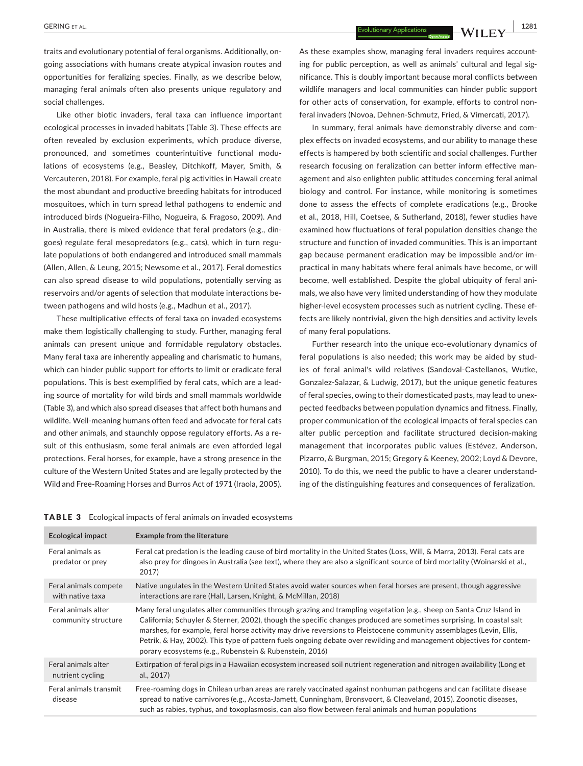**|** GERING et al. **1281**

traits and evolutionary potential of feral organisms. Additionally, on‐ going associations with humans create atypical invasion routes and opportunities for feralizing species. Finally, as we describe below, managing feral animals often also presents unique regulatory and social challenges.

Like other biotic invaders, feral taxa can influence important ecological processes in invaded habitats (Table 3). These effects are often revealed by exclusion experiments, which produce diverse, pronounced, and sometimes counterintuitive functional modu‐ lations of ecosystems (e.g., Beasley, Ditchkoff, Mayer, Smith, & Vercauteren, 2018). For example, feral pig activities in Hawaii create the most abundant and productive breeding habitats for introduced mosquitoes, which in turn spread lethal pathogens to endemic and introduced birds (Nogueira‐Filho, Nogueira, & Fragoso, 2009). And in Australia, there is mixed evidence that feral predators (e.g., din‐ goes) regulate feral mesopredators (e.g., cats), which in turn regu‐ late populations of both endangered and introduced small mammals (Allen, Allen, & Leung, 2015; Newsome et al., 2017). Feral domestics can also spread disease to wild populations, potentially serving as reservoirs and/or agents of selection that modulate interactions be‐ tween pathogens and wild hosts (e.g., Madhun et al., 2017).

These multiplicative effects of feral taxa on invaded ecosystems make them logistically challenging to study. Further, managing feral animals can present unique and formidable regulatory obstacles. Many feral taxa are inherently appealing and charismatic to humans, which can hinder public support for efforts to limit or eradicate feral populations. This is best exemplified by feral cats, which are a lead‐ ing source of mortality for wild birds and small mammals worldwide (Table 3), and which also spread diseases that affect both humans and wildlife. Well-meaning humans often feed and advocate for feral cats and other animals, and staunchly oppose regulatory efforts. As a re‐ sult of this enthusiasm, some feral animals are even afforded legal protections. Feral horses, for example, have a strong presence in the culture of the Western United States and are legally protected by the Wild and Free‐Roaming Horses and Burros Act of 1971 (Iraola, 2005).

As these examples show, managing feral invaders requires accounting for public perception, as well as animals' cultural and legal significance. This is doubly important because moral conflicts between wildlife managers and local communities can hinder public support for other acts of conservation, for example, efforts to control non‐ feral invaders (Novoa, Dehnen‐Schmutz, Fried, & Vimercati, 2017).

In summary, feral animals have demonstrably diverse and com‐ plex effects on invaded ecosystems, and our ability to manage these effects is hampered by both scientific and social challenges. Further research focusing on feralization can better inform effective man‐ agement and also enlighten public attitudes concerning feral animal biology and control. For instance, while monitoring is sometimes done to assess the effects of complete eradications (e.g., Brooke et al., 2018, Hill, Coetsee, & Sutherland, 2018), fewer studies have examined how fluctuations of feral population densities change the structure and function of invaded communities. This is an important gap because permanent eradication may be impossible and/or im‐ practical in many habitats where feral animals have become, or will become, well established. Despite the global ubiquity of feral ani‐ mals, we also have very limited understanding of how they modulate higher-level ecosystem processes such as nutrient cycling. These effects are likely nontrivial, given the high densities and activity levels of many feral populations.

Further research into the unique eco-evolutionary dynamics of feral populations is also needed; this work may be aided by stud‐ ies of feral animal's wild relatives (Sandoval‐Castellanos, Wutke, Gonzalez‐Salazar, & Ludwig, 2017), but the unique genetic features of feral species, owing to their domesticated pasts, may lead to unex‐ pected feedbacks between population dynamics and fitness. Finally, proper communication of the ecological impacts of feral species can alter public perception and facilitate structured decision‐making management that incorporates public values (Estévez, Anderson, Pizarro, & Burgman, 2015; Gregory & Keeney, 2002; Loyd & Devore, 2010). To do this, we need the public to have a clearer understand‐ ing of the distinguishing features and consequences of feralization.

#### TABLE 3 Ecological impacts of feral animals on invaded ecosystems

| Ecological impact                          | <b>Example from the literature</b>                                                                                                                                                                                                                                                                                                                                                                                                                                                                                                                      |  |
|--------------------------------------------|---------------------------------------------------------------------------------------------------------------------------------------------------------------------------------------------------------------------------------------------------------------------------------------------------------------------------------------------------------------------------------------------------------------------------------------------------------------------------------------------------------------------------------------------------------|--|
| Feral animals as<br>predator or prey       | Feral cat predation is the leading cause of bird mortality in the United States (Loss, Will, & Marra, 2013). Feral cats are<br>also prey for dingoes in Australia (see text), where they are also a significant source of bird mortality (Woinarski et al.,<br>2017)                                                                                                                                                                                                                                                                                    |  |
| Feral animals compete<br>with native taxa  | Native ungulates in the Western United States avoid water sources when feral horses are present, though aggressive<br>interactions are rare (Hall, Larsen, Knight, & McMillan, 2018)                                                                                                                                                                                                                                                                                                                                                                    |  |
| Feral animals alter<br>community structure | Many feral ungulates alter communities through grazing and trampling vegetation (e.g., sheep on Santa Cruz Island in<br>California; Schuyler & Sterner, 2002), though the specific changes produced are sometimes surprising. In coastal salt<br>marshes, for example, feral horse activity may drive reversions to Pleistocene community assemblages (Levin, Ellis,<br>Petrik, & Hay, 2002). This type of pattern fuels ongoing debate over rewilding and management objectives for contem-<br>porary ecosystems (e.g., Rubenstein & Rubenstein, 2016) |  |
| Feral animals alter<br>nutrient cycling    | Extirpation of feral pigs in a Hawaiian ecosystem increased soil nutrient regeneration and nitrogen availability (Long et<br>al., 2017)                                                                                                                                                                                                                                                                                                                                                                                                                 |  |
| Feral animals transmit<br>disease          | Free-roaming dogs in Chilean urban areas are rarely vaccinated against nonhuman pathogens and can facilitate disease<br>spread to native carnivores (e.g., Acosta-Jamett, Cunningham, Bronsvoort, & Cleaveland, 2015). Zoonotic diseases,<br>such as rabies, typhus, and toxoplasmosis, can also flow between feral animals and human populations                                                                                                                                                                                                       |  |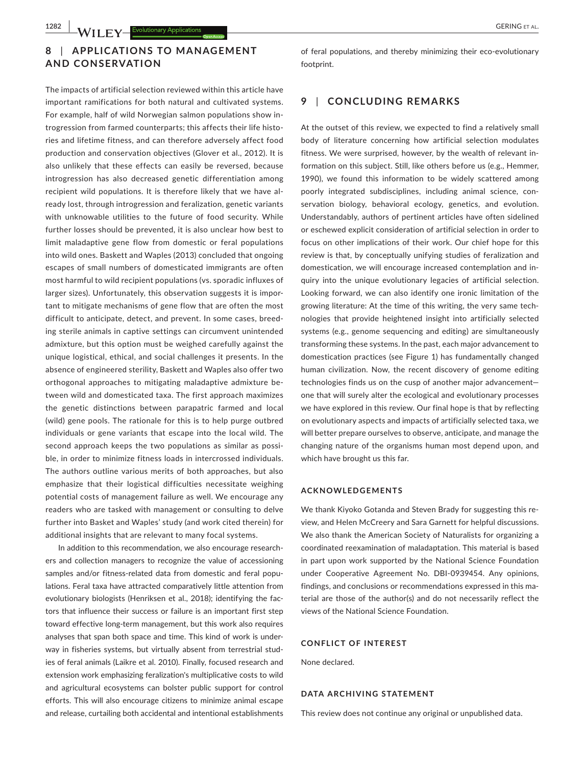## **8** | **APPLIC ATIONS TO MANAGEMENT AND CONSERVATION**

The impacts of artificial selection reviewed within this article have important ramifications for both natural and cultivated systems. For example, half of wild Norwegian salmon populations show in‐ trogression from farmed counterparts; this affects their life histo‐ ries and lifetime fitness, and can therefore adversely affect food production and conservation objectives (Glover et al., 2012). It is also unlikely that these effects can easily be reversed, because introgression has also decreased genetic differentiation among recipient wild populations. It is therefore likely that we have al‐ ready lost, through introgression and feralization, genetic variants with unknowable utilities to the future of food security. While further losses should be prevented, it is also unclear how best to limit maladaptive gene flow from domestic or feral populations into wild ones. Baskett and Waples (2013) concluded that ongoing escapes of small numbers of domesticated immigrants are often most harmful to wild recipient populations (vs. sporadic influxes of larger sizes). Unfortunately, this observation suggests it is impor‐ tant to mitigate mechanisms of gene flow that are often the most difficult to anticipate, detect, and prevent. In some cases, breed‐ ing sterile animals in captive settings can circumvent unintended admixture, but this option must be weighed carefully against the unique logistical, ethical, and social challenges it presents. In the absence of engineered sterility, Baskett and Waples also offer two orthogonal approaches to mitigating maladaptive admixture be‐ tween wild and domesticated taxa. The first approach maximizes the genetic distinctions between parapatric farmed and local (wild) gene pools. The rationale for this is to help purge outbred individuals or gene variants that escape into the local wild. The second approach keeps the two populations as similar as possible, in order to minimize fitness loads in intercrossed individuals. The authors outline various merits of both approaches, but also emphasize that their logistical difficulties necessitate weighing potential costs of management failure as well. We encourage any readers who are tasked with management or consulting to delve further into Basket and Waples' study (and work cited therein) for additional insights that are relevant to many focal systems.

In addition to this recommendation, we also encourage research‐ ers and collection managers to recognize the value of accessioning samples and/or fitness-related data from domestic and feral populations. Feral taxa have attracted comparatively little attention from evolutionary biologists (Henriksen et al., 2018); identifying the factors that influence their success or failure is an important first step toward effective long‐term management, but this work also requires analyses that span both space and time. This kind of work is under‐ way in fisheries systems, but virtually absent from terrestrial stud‐ ies of feral animals (Laikre et al. 2010). Finally, focused research and extension work emphasizing feralization's multiplicative costs to wild and agricultural ecosystems can bolster public support for control efforts. This will also encourage citizens to minimize animal escape and release, curtailing both accidental and intentional establishments

of feral populations, and thereby minimizing their eco-evolutionary footprint.

### **9** | **CONCLUDING REMARKS**

At the outset of this review, we expected to find a relatively small body of literature concerning how artificial selection modulates fitness. We were surprised, however, by the wealth of relevant in‐ formation on this subject. Still, like others before us (e.g., Hemmer, 1990), we found this information to be widely scattered among poorly integrated subdisciplines, including animal science, conservation biology, behavioral ecology, genetics, and evolution. Understandably, authors of pertinent articles have often sidelined or eschewed explicit consideration of artificial selection in order to focus on other implications of their work. Our chief hope for this review is that, by conceptually unifying studies of feralization and domestication, we will encourage increased contemplation and in‐ quiry into the unique evolutionary legacies of artificial selection. Looking forward, we can also identify one ironic limitation of the growing literature: At the time of this writing, the very same tech‐ nologies that provide heightened insight into artificially selected systems (e.g., genome sequencing and editing) are simultaneously transforming these systems. In the past, each major advancement to domestication practices (see Figure 1) has fundamentally changed human civilization. Now, the recent discovery of genome editing technologies finds us on the cusp of another major advancement one that will surely alter the ecological and evolutionary processes we have explored in this review. Our final hope is that by reflecting on evolutionary aspects and impacts of artificially selected taxa, we will better prepare ourselves to observe, anticipate, and manage the changing nature of the organisms human most depend upon, and which have brought us this far.

#### **ACKNOWLEDGEMENTS**

We thank Kiyoko Gotanda and Steven Brady for suggesting this review, and Helen McCreery and Sara Garnett for helpful discussions. We also thank the American Society of Naturalists for organizing a coordinated reexamination of maladaptation. This material is based in part upon work supported by the National Science Foundation under Cooperative Agreement No. DBI‐0939454. Any opinions, findings, and conclusions or recommendations expressed in this ma‐ terial are those of the author(s) and do not necessarily reflect the views of the National Science Foundation.

### **CONFLICT OF INTEREST**

None declared.

#### **DATA ARCHIVING STATEMENT**

This review does not continue any original or unpublished data.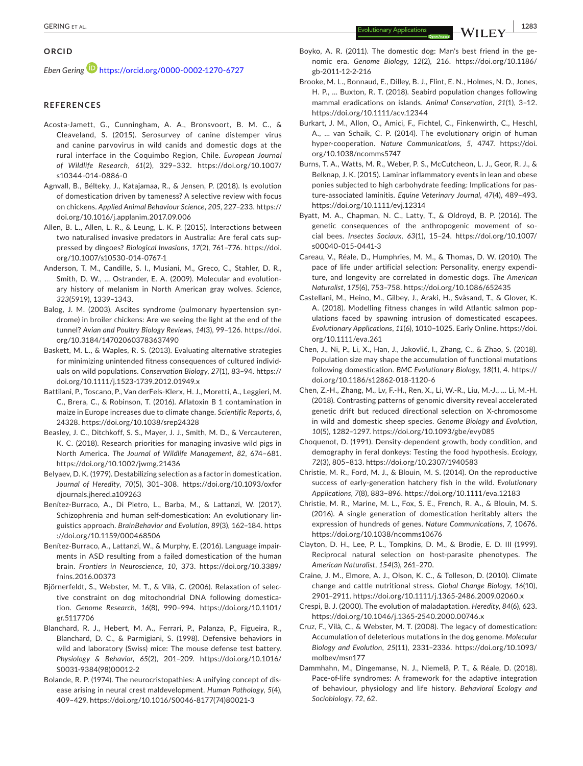#### **ORCID**

*Eben Gering* <https://orcid.org/0000-0002-1270-6727>

#### **REFERENCES**

- Acosta‐Jamett, G., Cunningham, A. A., Bronsvoort, B. M. C., & Cleaveland, S. (2015). Serosurvey of canine distemper virus and canine parvovirus in wild canids and domestic dogs at the rural interface in the Coquimbo Region, Chile. *European Journal of Wildlife Research*, *61*(2), 329–332. [https://doi.org/10.1007/](https://doi.org/10.1007/s10344-014-0886-0) [s10344-014-0886-0](https://doi.org/10.1007/s10344-014-0886-0)
- Agnvall, B., Bélteky, J., Katajamaa, R., & Jensen, P. (2018). Is evolution of domestication driven by tameness? A selective review with focus on chickens. *Applied Animal Behaviour Science*, *205*, 227–233. [https://](https://doi.org/10.1016/j.applanim.2017.09.006) [doi.org/10.1016/j.applanim.2017.09.006](https://doi.org/10.1016/j.applanim.2017.09.006)
- Allen, B. L., Allen, L. R., & Leung, L. K. P. (2015). Interactions between two naturalised invasive predators in Australia: Are feral cats sup‐ pressed by dingoes? *Biological Invasions*, *17*(2), 761–776. [https://doi.](https://doi.org/10.1007/s10530-014-0767-1) [org/10.1007/s10530-014-0767-1](https://doi.org/10.1007/s10530-014-0767-1)
- Anderson, T. M., Candille, S. I., Musiani, M., Greco, C., Stahler, D. R., Smith, D. W., … Ostrander, E. A. (2009). Molecular and evolution‐ ary history of melanism in North American gray wolves. *Science*, *323*(5919), 1339–1343.
- Balog, J. M. (2003). Ascites syndrome (pulmonary hypertension syndrome) in broiler chickens: Are we seeing the light at the end of the tunnel? *Avian and Poultry Biology Reviews*, *14*(3), 99–126. [https://doi.](https://doi.org/10.3184/147020603783637490) [org/10.3184/147020603783637490](https://doi.org/10.3184/147020603783637490)
- Baskett, M. L., & Waples, R. S. (2013). Evaluating alternative strategies for minimizing unintended fitness consequences of cultured individ‐ uals on wild populations. *Conservation Biology*, *27*(1), 83–94. [https://](https://doi.org/10.1111/j.1523-1739.2012.01949.x) [doi.org/10.1111/j.1523-1739.2012.01949.x](https://doi.org/10.1111/j.1523-1739.2012.01949.x)
- Battilani, P., Toscano, P., Van derFels‐Klerx, H. J., Moretti, A., Leggieri, M. C., Brera, C., & Robinson, T. (2016). Aflatoxin B 1 contamination in maize in Europe increases due to climate change. *Scientific Reports*, *6*, 24328. <https://doi.org/10.1038/srep24328>
- Beasley, J. C., Ditchkoff, S. S., Mayer, J. J., Smith, M. D., & Vercauteren, K. C. (2018). Research priorities for managing invasive wild pigs in North America. *The Journal of Wildlife Management*, *82*, 674–681. <https://doi.org/10.1002/jwmg.21436>
- Belyaev, D. K. (1979). Destabilizing selection as a factor in domestication. *Journal of Heredity*, *70*(5), 301–308. [https://doi.org/10.1093/oxfor](https://doi.org/10.1093/oxfordjournals.jhered.a109263) [djournals.jhered.a109263](https://doi.org/10.1093/oxfordjournals.jhered.a109263)
- Benítez‐Burraco, A., Di Pietro, L., Barba, M., & Lattanzi, W. (2017). Schizophrenia and human self-domestication: An evolutionary linguistics approach. *BrainBehavior and Evolution*, *89*(3), 162–184. [https](https://doi.org/10.1159/000468506) [://doi.org/10.1159/000468506](https://doi.org/10.1159/000468506)
- Benítez‐Burraco, A., Lattanzi, W., & Murphy, E. (2016). Language impair‐ ments in ASD resulting from a failed domestication of the human brain. *Frontiers in Neuroscience*, *10*, 373. [https://doi.org/10.3389/](https://doi.org/10.3389/fnins.2016.00373) [fnins.2016.00373](https://doi.org/10.3389/fnins.2016.00373)
- Björnerfeldt, S., Webster, M. T., & Vilà, C. (2006). Relaxation of selec‐ tive constraint on dog mitochondrial DNA following domestica‐ tion. *Genome Research*, *16*(8), 990–994. [https://doi.org/10.1101/](https://doi.org/10.1101/gr.5117706) [gr.5117706](https://doi.org/10.1101/gr.5117706)
- Blanchard, R. J., Hebert, M. A., Ferrari, P., Palanza, P., Figueira, R., Blanchard, D. C., & Parmigiani, S. (1998). Defensive behaviors in wild and laboratory (Swiss) mice: The mouse defense test battery. *Physiology & Behavior*, *65*(2), 201–209. [https://doi.org/10.1016/](https://doi.org/10.1016/S0031-9384(98)00012-2) [S0031-9384\(98\)00012-2](https://doi.org/10.1016/S0031-9384(98)00012-2)
- Bolande, R. P. (1974). The neurocristopathies: A unifying concept of dis‐ ease arising in neural crest maldevelopment. *Human Pathology*, *5*(4), 409–429. [https://doi.org/10.1016/S0046-8177\(74\)80021-3](https://doi.org/10.1016/S0046-8177(74)80021-3)
- Boyko, A. R. (2011). The domestic dog: Man's best friend in the ge‐ nomic era. *Genome Biology*, *12*(2), 216. [https://doi.org/10.1186/](https://doi.org/10.1186/gb-2011-12-2-216) [gb-2011-12-2-216](https://doi.org/10.1186/gb-2011-12-2-216)
- Brooke, M. L., Bonnaud, E., Dilley, B. J., Flint, E. N., Holmes, N. D., Jones, H. P., ... Buxton, R. T. (2018). Seabird population changes following mammal eradications on islands. *Animal Conservation*, *21*(1), 3–12. <https://doi.org/10.1111/acv.12344>
- Burkart, J. M., Allon, O., Amici, F., Fichtel, C., Finkenwirth, C., Heschl, A., … van Schaik, C. P. (2014). The evolutionary origin of human hyper‐cooperation. *Nature Communications*, *5*, 4747. [https://doi.](https://doi.org/10.1038/ncomms5747) [org/10.1038/ncomms5747](https://doi.org/10.1038/ncomms5747)
- Burns, T. A., Watts, M. R., Weber, P. S., McCutcheon, L. J., Geor, R. J., & Belknap, J. K. (2015). Laminar inflammatory events in lean and obese ponies subjected to high carbohydrate feeding: Implications for pas‐ ture‐associated laminitis. *Equine Veterinary Journal*, *47*(4), 489–493. <https://doi.org/10.1111/evj.12314>
- Byatt, M. A., Chapman, N. C., Latty, T., & Oldroyd, B. P. (2016). The genetic consequences of the anthropogenic movement of social bees. *Insectes Sociaux*, *63*(1), 15–24. [https://doi.org/10.1007/](https://doi.org/10.1007/s00040-015-0441-3) [s00040-015-0441-3](https://doi.org/10.1007/s00040-015-0441-3)
- Careau, V., Réale, D., Humphries, M. M., & Thomas, D. W. (2010). The pace of life under artificial selection: Personality, energy expendi‐ ture, and longevity are correlated in domestic dogs. *The American Naturalist*, *175*(6), 753–758. <https://doi.org/10.1086/652435>
- Castellani, M., Heino, M., Gilbey, J., Araki, H., Svåsand, T., & Glover, K. A. (2018). Modelling fitness changes in wild Atlantic salmon pop‐ ulations faced by spawning intrusion of domesticated escapees. *Evolutionary Applications*, *11*(6), 1010–1025. Early Online. [https://doi.](https://doi.org/10.1111/eva.261) [org/10.1111/eva.261](https://doi.org/10.1111/eva.261)
- Chen, J., Ni, P., Li, X., Han, J., Jakovlić, I., Zhang, C., & Zhao, S. (2018). Population size may shape the accumulation of functional mutations following domestication. *BMC Evolutionary Biology*, *18*(1), 4. [https://](https://doi.org/10.1186/s12862-018-1120-6) [doi.org/10.1186/s12862-018-1120-6](https://doi.org/10.1186/s12862-018-1120-6)
- Chen, Z.‐H., Zhang, M., Lv, F.‐H., Ren, X., Li, W.‐R., Liu, M.‐J., … Li, M.‐H. (2018). Contrasting patterns of genomic diversity reveal accelerated genetic drift but reduced directional selection on X‐chromosome in wild and domestic sheep species. *Genome Biology and Evolution*, *10*(5), 1282–1297.<https://doi.org/10.1093/gbe/evy085>
- Choquenot, D. (1991). Density‐dependent growth, body condition, and demography in feral donkeys: Testing the food hypothesis. *Ecology*, *72*(3), 805–813.<https://doi.org/10.2307/1940583>
- Christie, M. R., Ford, M. J., & Blouin, M. S. (2014). On the reproductive success of early‐generation hatchery fish in the wild. *Evolutionary Applications*, *7*(8), 883–896.<https://doi.org/10.1111/eva.12183>
- Christie, M. R., Marine, M. L., Fox, S. E., French, R. A., & Blouin, M. S. (2016). A single generation of domestication heritably alters the expression of hundreds of genes. *Nature Communications*, *7*, 10676. <https://doi.org/10.1038/ncomms10676>
- Clayton, D. H., Lee, P. L., Tompkins, D. M., & Brodie, E. D. III (1999). Reciprocal natural selection on host‐parasite phenotypes. *The American Naturalist*, *154*(3), 261–270.
- Craine, J. M., Elmore, A. J., Olson, K. C., & Tolleson, D. (2010). Climate change and cattle nutritional stress. *Global Change Biology*, *16*(10), 2901–2911. <https://doi.org/10.1111/j.1365-2486.2009.02060.x>
- Crespi, B. J. (2000). The evolution of maladaptation. *Heredity*, *84*(6), 623. <https://doi.org/10.1046/j.1365-2540.2000.00746.x>
- Cruz, F., Vilà, C., & Webster, M. T. (2008). The legacy of domestication: Accumulation of deleterious mutations in the dog genome. *Molecular Biology and Evolution*, *25*(11), 2331–2336. [https://doi.org/10.1093/](https://doi.org/10.1093/molbev/msn177) [molbev/msn177](https://doi.org/10.1093/molbev/msn177)
- Dammhahn, M., Dingemanse, N. J., Niemelä, P. T., & Réale, D. (2018). Pace‐of‐life syndromes: A framework for the adaptive integration of behaviour, physiology and life history. *Behavioral Ecology and Sociobiology*, *72*, 62.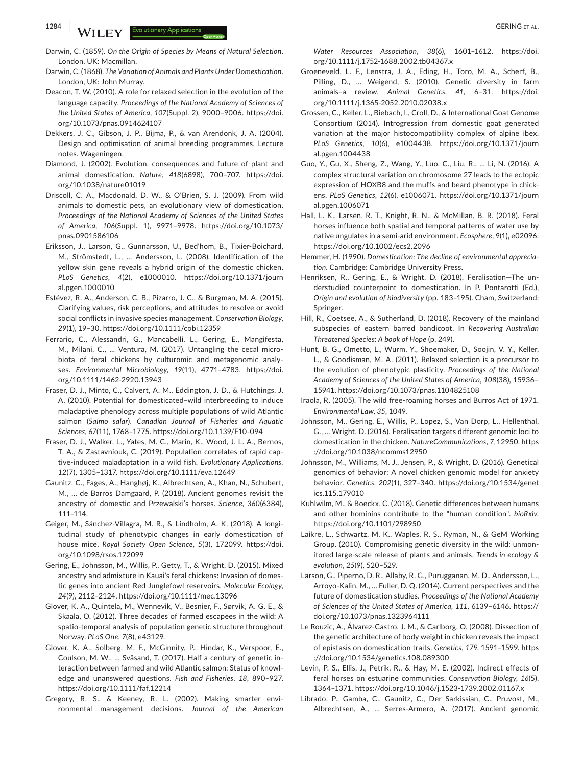- Darwin, C. (1868). *The Variation of Animals and Plants Under Domestication*. London, UK: John Murray.
- Deacon, T. W. (2010). A role for relaxed selection in the evolution of the language capacity. *Proceedings of the National Academy of Sciences of the United States of America*, *107*(Suppl. 2), 9000–9006. [https://doi.](https://doi.org/10.1073/pnas.0914624107) [org/10.1073/pnas.0914624107](https://doi.org/10.1073/pnas.0914624107)
- Dekkers, J. C., Gibson, J. P., Bijma, P., & van Arendonk, J. A. (2004). Design and optimisation of animal breeding programmes. Lecture notes. Wageningen.
- Diamond, J. (2002). Evolution, consequences and future of plant and animal domestication. *Nature*, *418*(6898), 700–707. [https://doi.](https://doi.org/10.1038/nature01019) [org/10.1038/nature01019](https://doi.org/10.1038/nature01019)
- Driscoll, C. A., Macdonald, D. W., & O'Brien, S. J. (2009). From wild animals to domestic pets, an evolutionary view of domestication. *Proceedings of the National Academy of Sciences of the United States of America*, *106*(Suppl. 1), 9971–9978. [https://doi.org/10.1073/](https://doi.org/10.1073/pnas.0901586106) [pnas.0901586106](https://doi.org/10.1073/pnas.0901586106)
- Eriksson, J., Larson, G., Gunnarsson, U., Bed'hom, B., Tixier‐Boichard, M., Strömstedt, L., … Andersson, L. (2008). Identification of the yellow skin gene reveals a hybrid origin of the domestic chicken. *PLoS Genetics*, *4*(2), e1000010. [https://doi.org/10.1371/journ](https://doi.org/10.1371/journal.pgen.1000010) [al.pgen.1000010](https://doi.org/10.1371/journal.pgen.1000010)
- Estévez, R. A., Anderson, C. B., Pizarro, J. C., & Burgman, M. A. (2015). Clarifying values, risk perceptions, and attitudes to resolve or avoid social conflicts in invasive species management. *Conservation Biology*, *29*(1), 19–30.<https://doi.org/10.1111/cobi.12359>
- Ferrario, C., Alessandri, G., Mancabelli, L., Gering, E., Mangifesta, M., Milani, C., ... Ventura, M. (2017). Untangling the cecal microbiota of feral chickens by culturomic and metagenomic analy‐ ses. *Environmental Microbiology*, *19*(11), 4771–4783. [https://doi.](https://doi.org/10.1111/1462-2920.13943) [org/10.1111/1462-2920.13943](https://doi.org/10.1111/1462-2920.13943)
- Fraser, D. J., Minto, C., Calvert, A. M., Eddington, J. D., & Hutchings, J. A. (2010). Potential for domesticated–wild interbreeding to induce maladaptive phenology across multiple populations of wild Atlantic salmon (*Salmo salar*). *Canadian Journal of Fisheries and Aquatic Sciences*, *67*(11), 1768–1775.<https://doi.org/10.1139/F10-094>
- Fraser, D. J., Walker, L., Yates, M. C., Marin, K., Wood, J. L. A., Bernos, T. A., & Zastavniouk, C. (2019). Population correlates of rapid cap‐ tive-induced maladaptation in a wild fish. *Evolutionary Applications, 12*(7), 1305–1317.<https://doi.org/10.1111/eva.12649>
- Gaunitz, C., Fages, A., Hanghøj, K., Albrechtsen, A., Khan, N., Schubert, M., … de Barros Damgaard, P. (2018). Ancient genomes revisit the ancestry of domestic and Przewalski's horses. *Science*, *360*(6384), 111–114.
- Geiger, M., Sánchez‐Villagra, M. R., & Lindholm, A. K. (2018). A longi‐ tudinal study of phenotypic changes in early domestication of house mice. *Royal Society Open Science*, *5*(3), 172099. [https://doi.](https://doi.org/10.1098/rsos.172099) [org/10.1098/rsos.172099](https://doi.org/10.1098/rsos.172099)
- Gering, E., Johnsson, M., Willis, P., Getty, T., & Wright, D. (2015). Mixed ancestry and admixture in Kauai's feral chickens: Invasion of domes‐ tic genes into ancient Red Junglefowl reservoirs. *Molecular Ecology*, *24*(9), 2112–2124. <https://doi.org/10.1111/mec.13096>
- Glover, K. A., Quintela, M., Wennevik, V., Besnier, F., Sørvik, A. G. E., & Skaala, O. (2012). Three decades of farmed escapees in the wild: A spatio‐temporal analysis of population genetic structure throughout Norway. *PLoS One*, *7*(8), e43129.
- Glover, K. A., Solberg, M. F., McGinnity, P., Hindar, K., Verspoor, E., Coulson, M. W., … Svåsand, T. (2017). Half a century of genetic in‐ teraction between farmed and wild Atlantic salmon: Status of knowl‐ edge and unanswered questions. *Fish and Fisheries*, *18*, 890–927. <https://doi.org/10.1111/faf.12214>
- Gregory, R. S., & Keeney, R. L. (2002). Making smarter envi‐ ronmental management decisions. *Journal of the American*

*Water Resources Association*, *38*(6), 1601–1612. [https://doi.](https://doi.org/10.1111/j.1752-1688.2002.tb04367.x) [org/10.1111/j.1752-1688.2002.tb04367.x](https://doi.org/10.1111/j.1752-1688.2002.tb04367.x)

- Groeneveld, L. F., Lenstra, J. A., Eding, H., Toro, M. A., Scherf, B., Pilling, D., … Weigend, S. (2010). Genetic diversity in farm animals–a review. *Animal Genetics*, *41*, 6–31. [https://doi.](https://doi.org/10.1111/j.1365-2052.2010.02038.x) [org/10.1111/j.1365-2052.2010.02038.x](https://doi.org/10.1111/j.1365-2052.2010.02038.x)
- Grossen, C., Keller, L., Biebach, I., Croll, D., & International Goat Genome Consortium (2014). Introgression from domestic goat generated variation at the major histocompatibility complex of alpine ibex. *PLoS Genetics*, *10*(6), e1004438. [https://doi.org/10.1371/journ](https://doi.org/10.1371/journal.pgen.1004438) [al.pgen.1004438](https://doi.org/10.1371/journal.pgen.1004438)
- Guo, Y., Gu, X., Sheng, Z., Wang, Y., Luo, C., Liu, R., … Li, N. (2016). A complex structural variation on chromosome 27 leads to the ectopic expression of HOXB8 and the muffs and beard phenotype in chick‐ ens. *PLoS Genetics*, *12*(6), e1006071. [https://doi.org/10.1371/journ](https://doi.org/10.1371/journal.pgen.1006071) [al.pgen.1006071](https://doi.org/10.1371/journal.pgen.1006071)
- Hall, L. K., Larsen, R. T., Knight, R. N., & McMillan, B. R. (2018). Feral horses influence both spatial and temporal patterns of water use by native ungulates in a semi‐arid environment. *Ecosphere*, *9*(1), e02096. <https://doi.org/10.1002/ecs2.2096>
- Hemmer, H. (1990). *Domestication: The decline of environmental apprecia‐ tion*. Cambridge: Cambridge University Press.
- Henriksen, R., Gering, E., & Wright, D. (2018). Feralisation—The un‐ derstudied counterpoint to domestication. In P. Pontarotti (Ed.), *Origin and evolution of biodiversity* (pp. 183–195). Cham, Switzerland: Springer.
- Hill, R., Coetsee, A., & Sutherland, D. (2018). Recovery of the mainland subspecies of eastern barred bandicoot. In *Recovering Australian Threatened Species: A book of Hope* (p. 249).
- Hunt, B. G., Ometto, L., Wurm, Y., Shoemaker, D., Soojin, V. Y., Keller, L., & Goodisman, M. A. (2011). Relaxed selection is a precursor to the evolution of phenotypic plasticity. *Proceedings of the National Academy of Sciences of the United States of America*, *108*(38), 15936– 15941. <https://doi.org/10.1073/pnas.1104825108>
- Iraola, R. (2005). The wild free‐roaming horses and Burros Act of 1971. *Environmental Law*, *35*, 1049.
- Johnsson, M., Gering, E., Willis, P., Lopez, S., Van Dorp, L., Hellenthal, G., … Wright, D. (2016). Feralisation targets different genomic loci to domestication in the chicken. *NatureCommunications*, *7*, 12950. [https](https://doi.org/10.1038/ncomms12950) [://doi.org/10.1038/ncomms12950](https://doi.org/10.1038/ncomms12950)
- Johnsson, M., Williams, M. J., Jensen, P., & Wright, D. (2016). Genetical genomics of behavior: A novel chicken genomic model for anxiety behavior. *Genetics*, *202*(1), 327–340. [https://doi.org/10.1534/genet](https://doi.org/10.1534/genetics.115.179010) [ics.115.179010](https://doi.org/10.1534/genetics.115.179010)
- Kuhlwilm, M., & Boeckx, C. (2018). Genetic differences between humans and other hominins contribute to the "human condition". *bioRxiv*. <https://doi.org/10.1101/298950>
- Laikre, L., Schwartz, M. K., Waples, R. S., Ryman, N., & GeM Working Group. (2010). Compromising genetic diversity in the wild: unmon‐ itored large-scale release of plants and animals. *Trends in ecology & evolution*, *25*(9), 520–529.
- Larson, G., Piperno, D. R., Allaby, R. G., Purugganan, M. D., Andersson, L., Arroyo‐Kalin, M., … Fuller, D. Q. (2014). Current perspectives and the future of domestication studies. *Proceedings of the National Academy of Sciences of the United States of America*, *111*, 6139–6146. [https://](https://doi.org/10.1073/pnas.1323964111) [doi.org/10.1073/pnas.1323964111](https://doi.org/10.1073/pnas.1323964111)
- Le Rouzic, A., Álvarez‐Castro, J. M., & Carlborg, O. (2008). Dissection of the genetic architecture of body weight in chicken reveals the impact of epistasis on domestication traits. *Genetics*, *179*, 1591–1599. [https](https://doi.org/10.1534/genetics.108.089300) [://doi.org/10.1534/genetics.108.089300](https://doi.org/10.1534/genetics.108.089300)
- Levin, P. S., Ellis, J., Petrik, R., & Hay, M. E. (2002). Indirect effects of feral horses on estuarine communities. *Conservation Biology*, *16*(5), 1364–1371. <https://doi.org/10.1046/j.1523-1739.2002.01167.x>
- Librado, P., Gamba, C., Gaunitz, C., Der Sarkissian, C., Pruvost, M., Albrechtsen, A., … Serres‐Armero, A. (2017). Ancient genomic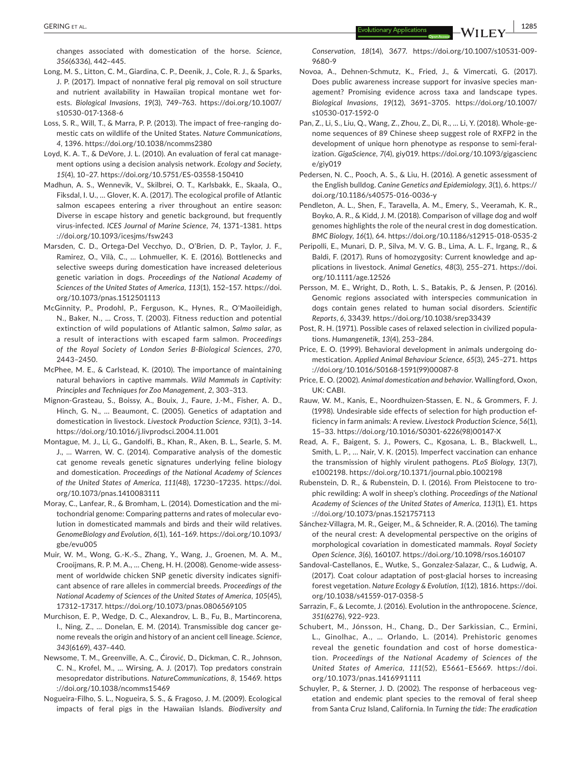changes associated with domestication of the horse. *Science*, *356*(6336), 442–445.

- Long, M. S., Litton, C. M., Giardina, C. P., Deenik, J., Cole, R. J., & Sparks, J. P. (2017). Impact of nonnative feral pig removal on soil structure and nutrient availability in Hawaiian tropical montane wet for‐ ests. *Biological Invasions*, *19*(3), 749–763. [https://doi.org/10.1007/](https://doi.org/10.1007/s10530-017-1368-6) [s10530-017-1368-6](https://doi.org/10.1007/s10530-017-1368-6)
- Loss, S. R., Will, T., & Marra, P. P. (2013). The impact of free-ranging domestic cats on wildlife of the United States. *Nature Communications*, *4*, 1396. <https://doi.org/10.1038/ncomms2380>
- Loyd, K. A. T., & DeVore, J. L. (2010). An evaluation of feral cat manage‐ ment options using a decision analysis network. *Ecology and Society*, *15*(4), 10–27. <https://doi.org/10.5751/ES-03558-150410>
- Madhun, A. S., Wennevik, V., Skilbrei, O. T., Karlsbakk, E., Skaala, O., Fiksdal, I. U., … Glover, K. A. (2017). The ecological profile of Atlantic salmon escapees entering a river throughout an entire season: Diverse in escape history and genetic background, but frequently virus‐infected. *ICES Journal of Marine Science*, *74*, 1371–1381. [https](https://doi.org/10.1093/icesjms/fsw243) [://doi.org/10.1093/icesjms/fsw243](https://doi.org/10.1093/icesjms/fsw243)
- Marsden, C. D., Ortega‐Del Vecchyo, D., O'Brien, D. P., Taylor, J. F., Ramirez, O., Vilà, C., … Lohmueller, K. E. (2016). Bottlenecks and selective sweeps during domestication have increased deleterious genetic variation in dogs. *Proceedings of the National Academy of Sciences of the United States of America*, *113*(1), 152–157. [https://doi.](https://doi.org/10.1073/pnas.1512501113) [org/10.1073/pnas.1512501113](https://doi.org/10.1073/pnas.1512501113)
- McGinnity, P., Prodohl, P., Ferguson, K., Hynes, R., O'Maoileidigh, N., Baker, N., … Cross, T. (2003). Fitness reduction and potential extinction of wild populations of Atlantic salmon, *Salmo salar*, as a result of interactions with escaped farm salmon. *Proceedings of the Royal Society of London Series B‐Biological Sciences*, *270*, 2443–2450.
- McPhee, M. E., & Carlstead, K. (2010). The importance of maintaining natural behaviors in captive mammals. *Wild Mammals in Captivity: Principles and Techniques for Zoo Management*, *2*, 303–313.
- Mignon‐Grasteau, S., Boissy, A., Bouix, J., Faure, J.‐M., Fisher, A. D., Hinch, G. N., … Beaumont, C. (2005). Genetics of adaptation and domestication in livestock. *Livestock Production Science*, *93*(1), 3–14. <https://doi.org/10.1016/j.livprodsci.2004.11.001>
- Montague, M. J., Li, G., Gandolfi, B., Khan, R., Aken, B. L., Searle, S. M. J., … Warren, W. C. (2014). Comparative analysis of the domestic cat genome reveals genetic signatures underlying feline biology and domestication. *Proceedings of the National Academy of Sciences of the United States of America*, *111*(48), 17230–17235. [https://doi.](https://doi.org/10.1073/pnas.1410083111) [org/10.1073/pnas.1410083111](https://doi.org/10.1073/pnas.1410083111)
- Moray, C., Lanfear, R., & Bromham, L. (2014). Domestication and the mi‐ tochondrial genome: Comparing patterns and rates of molecular evo‐ lution in domesticated mammals and birds and their wild relatives. *GenomeBiology and Evolution*, *6*(1), 161–169. [https://doi.org/10.1093/](https://doi.org/10.1093/gbe/evu005) [gbe/evu005](https://doi.org/10.1093/gbe/evu005)
- Muir, W. M., Wong, G.‐K.‐S., Zhang, Y., Wang, J., Groenen, M. A. M., Crooijmans, R. P. M. A., … Cheng, H. H. (2008). Genome‐wide assess‐ ment of worldwide chicken SNP genetic diversity indicates signifi‐ cant absence of rare alleles in commercial breeds. *Proceedings of the National Academy of Sciences of the United States of America*, *105*(45), 17312–17317.<https://doi.org/10.1073/pnas.0806569105>
- Murchison, E. P., Wedge, D. C., Alexandrov, L. B., Fu, B., Martincorena, I., Ning, Z., … Donelan, E. M. (2014). Transmissible dog cancer ge‐ nome reveals the origin and history of an ancient cell lineage. *Science*, *343*(6169), 437–440.
- Newsome, T. M., Greenville, A. C., Ćirović, D., Dickman, C. R., Johnson, C. N., Krofel, M., … Wirsing, A. J. (2017). Top predators constrain mesopredator distributions. *NatureCommunications*, *8*, 15469. [https](https://doi.org/10.1038/ncomms15469) [://doi.org/10.1038/ncomms15469](https://doi.org/10.1038/ncomms15469)
- Nogueira‐Filho, S. L., Nogueira, S. S., & Fragoso, J. M. (2009). Ecological impacts of feral pigs in the Hawaiian Islands. *Biodiversity and*

*Conservation*, *18*(14), 3677. [https://doi.org/10.1007/s10531-009-](https://doi.org/10.1007/s10531-009-9680-9)[9680-9](https://doi.org/10.1007/s10531-009-9680-9)

- Novoa, A., Dehnen‐Schmutz, K., Fried, J., & Vimercati, G. (2017). Does public awareness increase support for invasive species management? Promising evidence across taxa and landscape types. *Biological Invasions*, *19*(12), 3691–3705. [https://doi.org/10.1007/](https://doi.org/10.1007/s10530-017-1592-0) [s10530-017-1592-0](https://doi.org/10.1007/s10530-017-1592-0)
- Pan, Z., Li, S., Liu, Q., Wang, Z., Zhou, Z., Di, R., … Li, Y. (2018). Whole‐ge‐ nome sequences of 89 Chinese sheep suggest role of RXFP2 in the development of unique horn phenotype as response to semi‐feral‐ ization. *GigaScience*, *7*(4), giy019. [https://doi.org/10.1093/gigascienc](https://doi.org/10.1093/gigascience/giy019) [e/giy019](https://doi.org/10.1093/gigascience/giy019)
- Pedersen, N. C., Pooch, A. S., & Liu, H. (2016). A genetic assessment of the English bulldog. *Canine Genetics and Epidemiology*, *3*(1), 6. [https://](https://doi.org/10.1186/s40575-016-0036-y) [doi.org/10.1186/s40575-016-0036-y](https://doi.org/10.1186/s40575-016-0036-y)
- Pendleton, A. L., Shen, F., Taravella, A. M., Emery, S., Veeramah, K. R., Boyko, A. R., & Kidd, J. M. (2018). Comparison of village dog and wolf genomes highlights the role of the neural crest in dog domestication. *BMC Biology*, *16*(1), 64. <https://doi.org/10.1186/s12915-018-0535-2>
- Peripolli, E., Munari, D. P., Silva, M. V. G. B., Lima, A. L. F., Irgang, R., & Baldi, F. (2017). Runs of homozygosity: Current knowledge and ap‐ plications in livestock. *Animal Genetics*, *48*(3), 255–271. [https://doi.](https://doi.org/10.1111/age.12526) [org/10.1111/age.12526](https://doi.org/10.1111/age.12526)
- Persson, M. E., Wright, D., Roth, L. S., Batakis, P., & Jensen, P. (2016). Genomic regions associated with interspecies communication in dogs contain genes related to human social disorders. *Scientific Reports*, *6*, 33439. <https://doi.org/10.1038/srep33439>
- Post, R. H. (1971). Possible cases of relaxed selection in civilized popula‐ tions. *Humangenetik*, *13*(4), 253–284.
- Price, E. O. (1999). Behavioral development in animals undergoing do‐ mestication. *Applied Animal Behaviour Science*, *65*(3), 245–271. [https](https://doi.org/10.1016/S0168-1591(99)00087-8) [://doi.org/10.1016/S0168-1591\(99\)00087-8](https://doi.org/10.1016/S0168-1591(99)00087-8)
- Price, E. O. (2002). *Animal domestication and behavior*. Wallingford, Oxon, UK: CABI.
- Rauw, W. M., Kanis, E., Noordhuizen‐Stassen, E. N., & Grommers, F. J. (1998). Undesirable side effects of selection for high production ef‐ ficiency in farm animals: A review. *Livestock Production Science*, *56*(1), 15–33. [https://doi.org/10.1016/S0301-6226\(98\)00147-X](https://doi.org/10.1016/S0301-6226(98)00147-X)
- Read, A. F., Baigent, S. J., Powers, C., Kgosana, L. B., Blackwell, L., Smith, L. P., … Nair, V. K. (2015). Imperfect vaccination can enhance the transmission of highly virulent pathogens. *PLoS Biology*, *13*(7), e1002198.<https://doi.org/10.1371/journal.pbio.1002198>
- Rubenstein, D. R., & Rubenstein, D. I. (2016). From Pleistocene to tro‐ phic rewilding: A wolf in sheep's clothing. *Proceedings of the National Academy of Sciences of the United States of America*, *113*(1), E1. [https](https://doi.org/10.1073/pnas.1521757113) [://doi.org/10.1073/pnas.1521757113](https://doi.org/10.1073/pnas.1521757113)
- Sánchez‐Villagra, M. R., Geiger, M., & Schneider, R. A. (2016). The taming of the neural crest: A developmental perspective on the origins of morphological covariation in domesticated mammals. *Royal Society Open Science*, *3*(6), 160107. <https://doi.org/10.1098/rsos.160107>
- Sandoval‐Castellanos, E., Wutke, S., Gonzalez‐Salazar, C., & Ludwig, A. (2017). Coat colour adaptation of post‐glacial horses to increasing forest vegetation. *Nature Ecology & Evolution*, *1*(12), 1816. [https://doi.](https://doi.org/10.1038/s41559-017-0358-5) [org/10.1038/s41559-017-0358-5](https://doi.org/10.1038/s41559-017-0358-5)
- Sarrazin, F., & Lecomte, J. (2016). Evolution in the anthropocene. *Science*, *351*(6276), 922–923.
- Schubert, M., Jónsson, H., Chang, D., Der Sarkissian, C., Ermini, L., Ginolhac, A., … Orlando, L. (2014). Prehistoric genomes reveal the genetic foundation and cost of horse domestica‐ tion. *Proceedings of the National Academy of Sciences of the United States of America*, *111*(52), E5661–E5669. [https://doi.](https://doi.org/10.1073/pnas.1416991111) [org/10.1073/pnas.1416991111](https://doi.org/10.1073/pnas.1416991111)
- Schuyler, P., & Sterner, J. D. (2002). The response of herbaceous vegetation and endemic plant species to the removal of feral sheep from Santa Cruz Island, California. In *Turning the tide: The eradication*